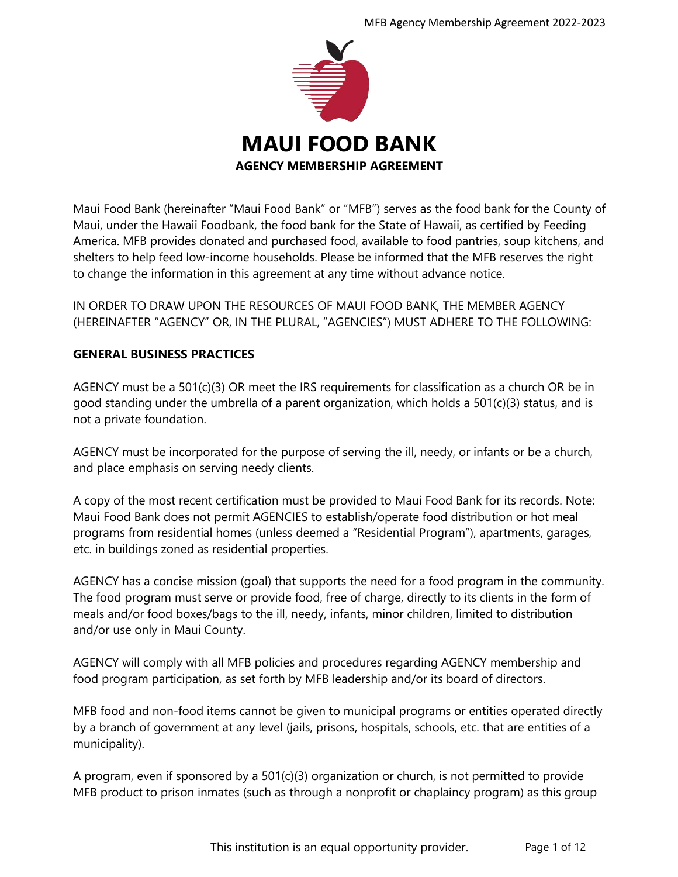

Maui Food Bank (hereinafter "Maui Food Bank" or "MFB") serves as the food bank for the County of Maui, under the Hawaii Foodbank, the food bank for the State of Hawaii, as certified by Feeding America. MFB provides donated and purchased food, available to food pantries, soup kitchens, and shelters to help feed low-income households. Please be informed that the MFB reserves the right to change the information in this agreement at any time without advance notice.

IN ORDER TO DRAW UPON THE RESOURCES OF MAUI FOOD BANK, THE MEMBER AGENCY (HEREINAFTER "AGENCY" OR, IN THE PLURAL, "AGENCIES") MUST ADHERE TO THE FOLLOWING:

# **GENERAL BUSINESS PRACTICES**

AGENCY must be a 501(c)(3) OR meet the IRS requirements for classification as a church OR be in good standing under the umbrella of a parent organization, which holds a 501(c)(3) status, and is not a private foundation.

AGENCY must be incorporated for the purpose of serving the ill, needy, or infants or be a church, and place emphasis on serving needy clients.

A copy of the most recent certification must be provided to Maui Food Bank for its records. Note: Maui Food Bank does not permit AGENCIES to establish/operate food distribution or hot meal programs from residential homes (unless deemed a "Residential Program"), apartments, garages, etc. in buildings zoned as residential properties.

AGENCY has a concise mission (goal) that supports the need for a food program in the community. The food program must serve or provide food, free of charge, directly to its clients in the form of meals and/or food boxes/bags to the ill, needy, infants, minor children, limited to distribution and/or use only in Maui County.

AGENCY will comply with all MFB policies and procedures regarding AGENCY membership and food program participation, as set forth by MFB leadership and/or its board of directors.

MFB food and non-food items cannot be given to municipal programs or entities operated directly by a branch of government at any level (jails, prisons, hospitals, schools, etc. that are entities of a municipality).

A program, even if sponsored by a 501(c)(3) organization or church, is not permitted to provide MFB product to prison inmates (such as through a nonprofit or chaplaincy program) as this group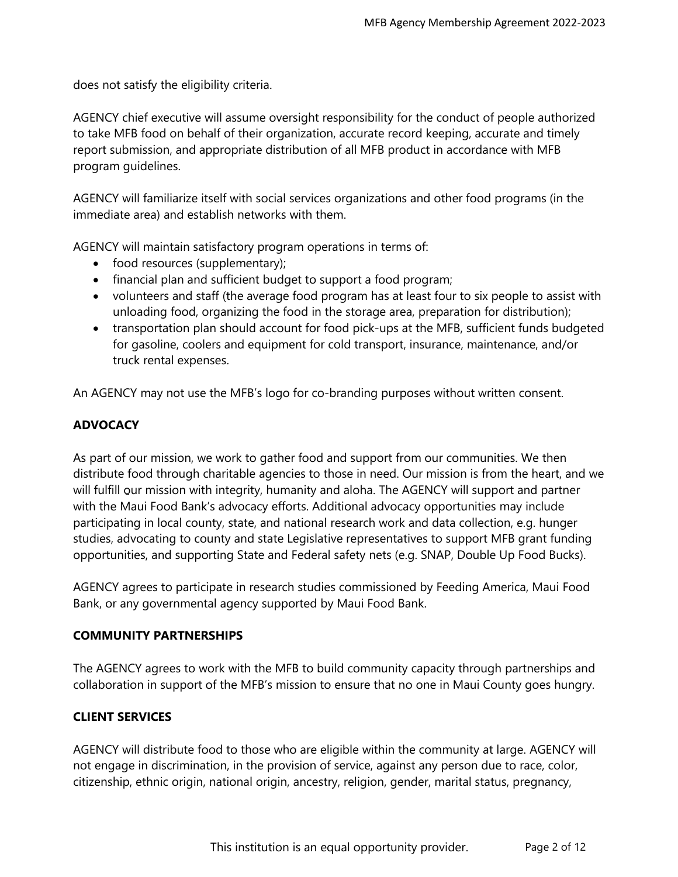does not satisfy the eligibility criteria.

AGENCY chief executive will assume oversight responsibility for the conduct of people authorized to take MFB food on behalf of their organization, accurate record keeping, accurate and timely report submission, and appropriate distribution of all MFB product in accordance with MFB program guidelines.

AGENCY will familiarize itself with social services organizations and other food programs (in the immediate area) and establish networks with them.

AGENCY will maintain satisfactory program operations in terms of:

- food resources (supplementary);
- financial plan and sufficient budget to support a food program;
- volunteers and staff (the average food program has at least four to six people to assist with unloading food, organizing the food in the storage area, preparation for distribution);
- transportation plan should account for food pick-ups at the MFB, sufficient funds budgeted for gasoline, coolers and equipment for cold transport, insurance, maintenance, and/or truck rental expenses.

An AGENCY may not use the MFB's logo for co-branding purposes without written consent.

## **ADVOCACY**

As part of our mission, we work to gather food and support from our communities. We then distribute food through charitable agencies to those in need. Our mission is from the heart, and we will fulfill our mission with integrity, humanity and aloha. The AGENCY will support and partner with the Maui Food Bank's advocacy efforts. Additional advocacy opportunities may include participating in local county, state, and national research work and data collection, e.g. hunger studies, advocating to county and state Legislative representatives to support MFB grant funding opportunities, and supporting State and Federal safety nets (e.g. SNAP, Double Up Food Bucks).

AGENCY agrees to participate in research studies commissioned by Feeding America, Maui Food Bank, or any governmental agency supported by Maui Food Bank.

#### **COMMUNITY PARTNERSHIPS**

The AGENCY agrees to work with the MFB to build community capacity through partnerships and collaboration in support of the MFB's mission to ensure that no one in Maui County goes hungry.

#### **CLIENT SERVICES**

AGENCY will distribute food to those who are eligible within the community at large. AGENCY will not engage in discrimination, in the provision of service, against any person due to race, color, citizenship, ethnic origin, national origin, ancestry, religion, gender, marital status, pregnancy,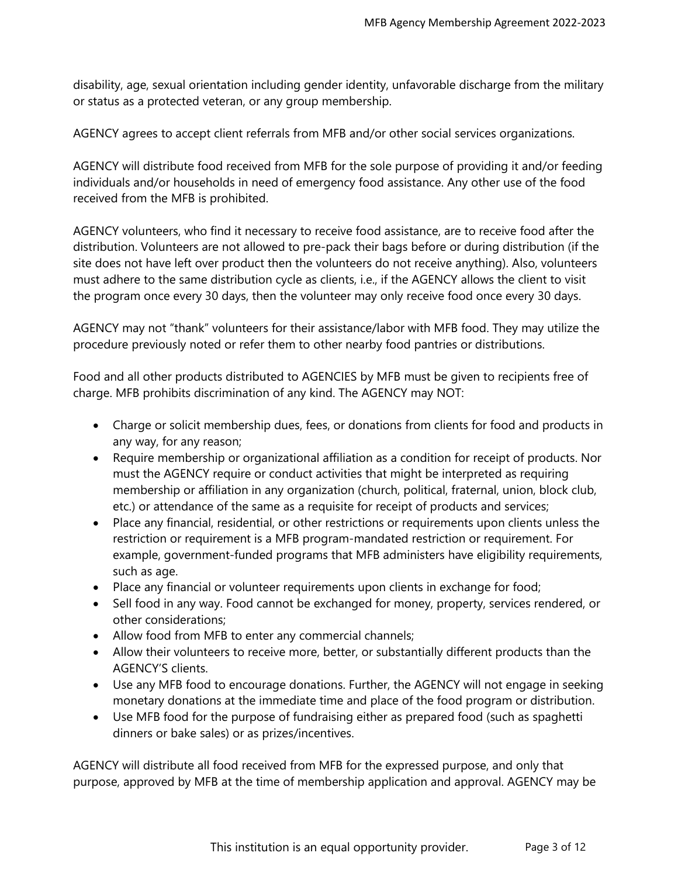disability, age, sexual orientation including gender identity, unfavorable discharge from the military or status as a protected veteran, or any group membership.

AGENCY agrees to accept client referrals from MFB and/or other social services organizations.

AGENCY will distribute food received from MFB for the sole purpose of providing it and/or feeding individuals and/or households in need of emergency food assistance. Any other use of the food received from the MFB is prohibited.

AGENCY volunteers, who find it necessary to receive food assistance, are to receive food after the distribution. Volunteers are not allowed to pre-pack their bags before or during distribution (if the site does not have left over product then the volunteers do not receive anything). Also, volunteers must adhere to the same distribution cycle as clients, i.e., if the AGENCY allows the client to visit the program once every 30 days, then the volunteer may only receive food once every 30 days.

AGENCY may not "thank" volunteers for their assistance/labor with MFB food. They may utilize the procedure previously noted or refer them to other nearby food pantries or distributions.

Food and all other products distributed to AGENCIES by MFB must be given to recipients free of charge. MFB prohibits discrimination of any kind. The AGENCY may NOT:

- Charge or solicit membership dues, fees, or donations from clients for food and products in any way, for any reason;
- Require membership or organizational affiliation as a condition for receipt of products. Nor must the AGENCY require or conduct activities that might be interpreted as requiring membership or affiliation in any organization (church, political, fraternal, union, block club, etc.) or attendance of the same as a requisite for receipt of products and services;
- Place any financial, residential, or other restrictions or requirements upon clients unless the restriction or requirement is a MFB program-mandated restriction or requirement. For example, government-funded programs that MFB administers have eligibility requirements, such as age.
- Place any financial or volunteer requirements upon clients in exchange for food;
- Sell food in any way. Food cannot be exchanged for money, property, services rendered, or other considerations;
- Allow food from MFB to enter any commercial channels;
- Allow their volunteers to receive more, better, or substantially different products than the AGENCY'S clients.
- Use any MFB food to encourage donations. Further, the AGENCY will not engage in seeking monetary donations at the immediate time and place of the food program or distribution.
- Use MFB food for the purpose of fundraising either as prepared food (such as spaghetti dinners or bake sales) or as prizes/incentives.

AGENCY will distribute all food received from MFB for the expressed purpose, and only that purpose, approved by MFB at the time of membership application and approval. AGENCY may be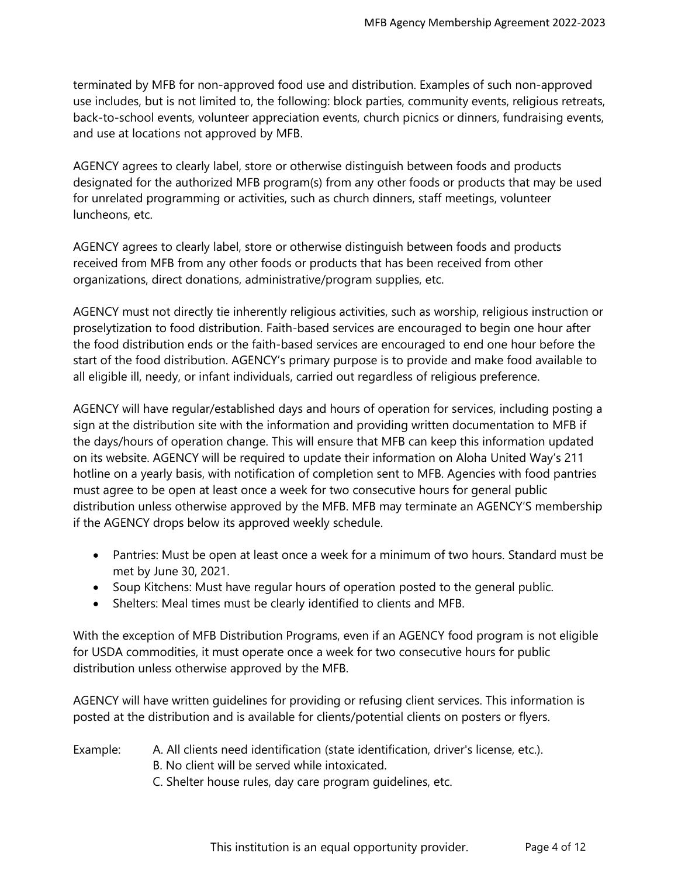terminated by MFB for non-approved food use and distribution. Examples of such non-approved use includes, but is not limited to, the following: block parties, community events, religious retreats, back-to-school events, volunteer appreciation events, church picnics or dinners, fundraising events, and use at locations not approved by MFB.

AGENCY agrees to clearly label, store or otherwise distinguish between foods and products designated for the authorized MFB program(s) from any other foods or products that may be used for unrelated programming or activities, such as church dinners, staff meetings, volunteer luncheons, etc.

AGENCY agrees to clearly label, store or otherwise distinguish between foods and products received from MFB from any other foods or products that has been received from other organizations, direct donations, administrative/program supplies, etc.

AGENCY must not directly tie inherently religious activities, such as worship, religious instruction or proselytization to food distribution. Faith-based services are encouraged to begin one hour after the food distribution ends or the faith-based services are encouraged to end one hour before the start of the food distribution. AGENCY's primary purpose is to provide and make food available to all eligible ill, needy, or infant individuals, carried out regardless of religious preference.

AGENCY will have regular/established days and hours of operation for services, including posting a sign at the distribution site with the information and providing written documentation to MFB if the days/hours of operation change. This will ensure that MFB can keep this information updated on its website. AGENCY will be required to update their information on Aloha United Way's 211 hotline on a yearly basis, with notification of completion sent to MFB. Agencies with food pantries must agree to be open at least once a week for two consecutive hours for general public distribution unless otherwise approved by the MFB. MFB may terminate an AGENCY'S membership if the AGENCY drops below its approved weekly schedule.

- Pantries: Must be open at least once a week for a minimum of two hours. Standard must be met by June 30, 2021.
- Soup Kitchens: Must have regular hours of operation posted to the general public.
- Shelters: Meal times must be clearly identified to clients and MFB.

With the exception of MFB Distribution Programs, even if an AGENCY food program is not eligible for USDA commodities, it must operate once a week for two consecutive hours for public distribution unless otherwise approved by the MFB.

AGENCY will have written guidelines for providing or refusing client services. This information is posted at the distribution and is available for clients/potential clients on posters or flyers.

- Example: A. All clients need identification (state identification, driver's license, etc.). B. No client will be served while intoxicated.
	- C. Shelter house rules, day care program guidelines, etc.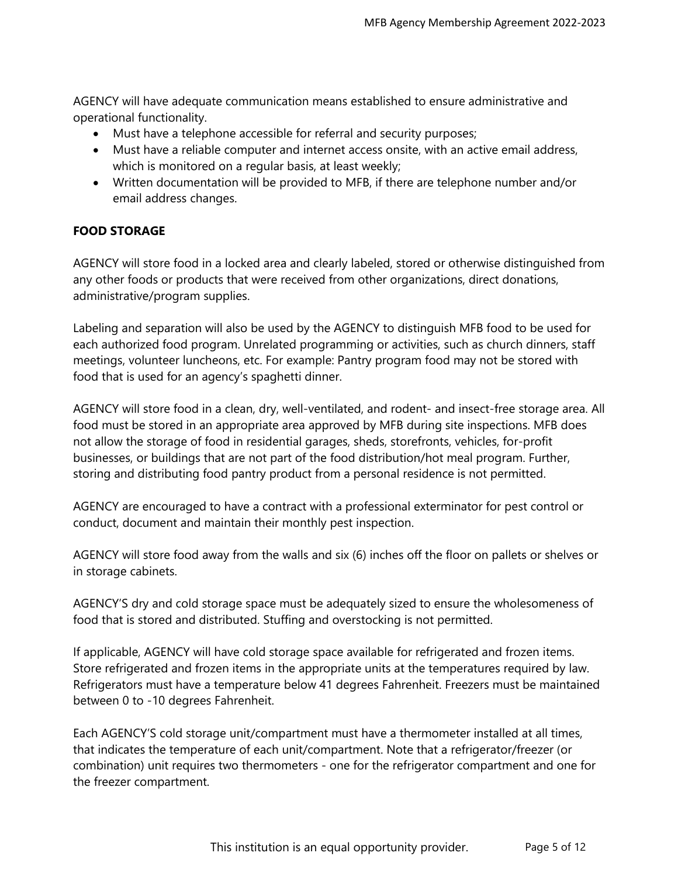AGENCY will have adequate communication means established to ensure administrative and operational functionality.

- Must have a telephone accessible for referral and security purposes;
- Must have a reliable computer and internet access onsite, with an active email address, which is monitored on a regular basis, at least weekly;
- Written documentation will be provided to MFB, if there are telephone number and/or email address changes.

## **FOOD STORAGE**

AGENCY will store food in a locked area and clearly labeled, stored or otherwise distinguished from any other foods or products that were received from other organizations, direct donations, administrative/program supplies.

Labeling and separation will also be used by the AGENCY to distinguish MFB food to be used for each authorized food program. Unrelated programming or activities, such as church dinners, staff meetings, volunteer luncheons, etc. For example: Pantry program food may not be stored with food that is used for an agency's spaghetti dinner.

AGENCY will store food in a clean, dry, well-ventilated, and rodent- and insect-free storage area. All food must be stored in an appropriate area approved by MFB during site inspections. MFB does not allow the storage of food in residential garages, sheds, storefronts, vehicles, for-profit businesses, or buildings that are not part of the food distribution/hot meal program. Further, storing and distributing food pantry product from a personal residence is not permitted.

AGENCY are encouraged to have a contract with a professional exterminator for pest control or conduct, document and maintain their monthly pest inspection.

AGENCY will store food away from the walls and six (6) inches off the floor on pallets or shelves or in storage cabinets.

AGENCY'S dry and cold storage space must be adequately sized to ensure the wholesomeness of food that is stored and distributed. Stuffing and overstocking is not permitted.

If applicable, AGENCY will have cold storage space available for refrigerated and frozen items. Store refrigerated and frozen items in the appropriate units at the temperatures required by law. Refrigerators must have a temperature below 41 degrees Fahrenheit. Freezers must be maintained between 0 to -10 degrees Fahrenheit.

Each AGENCY'S cold storage unit/compartment must have a thermometer installed at all times, that indicates the temperature of each unit/compartment. Note that a refrigerator/freezer (or combination) unit requires two thermometers - one for the refrigerator compartment and one for the freezer compartment.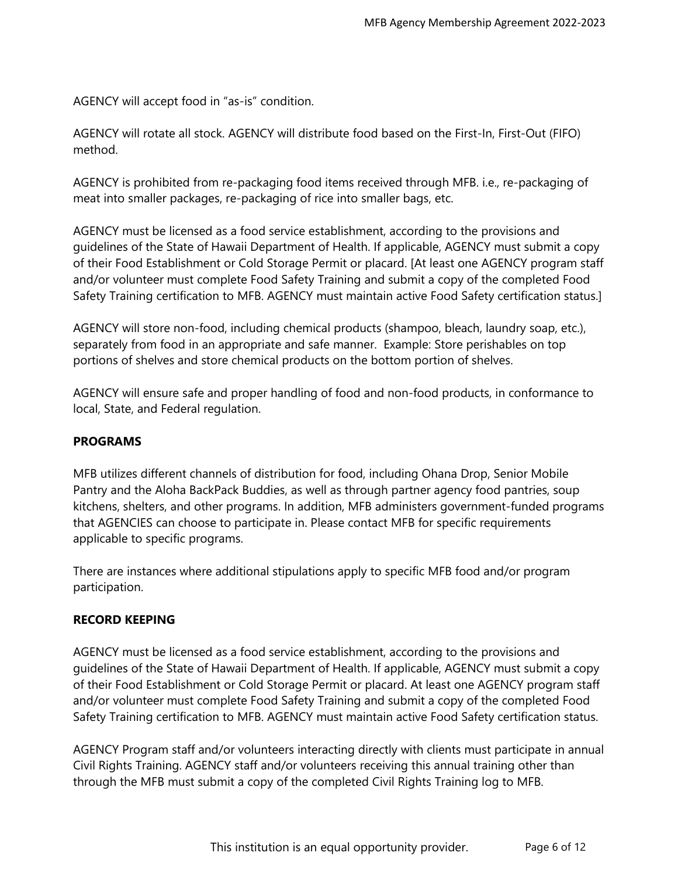AGENCY will accept food in "as-is" condition.

AGENCY will rotate all stock. AGENCY will distribute food based on the First-In, First-Out (FIFO) method.

AGENCY is prohibited from re-packaging food items received through MFB. i.e., re-packaging of meat into smaller packages, re-packaging of rice into smaller bags, etc.

AGENCY must be licensed as a food service establishment, according to the provisions and guidelines of the State of Hawaii Department of Health. If applicable, AGENCY must submit a copy of their Food Establishment or Cold Storage Permit or placard. [At least one AGENCY program staff and/or volunteer must complete Food Safety Training and submit a copy of the completed Food Safety Training certification to MFB. AGENCY must maintain active Food Safety certification status.]

AGENCY will store non-food, including chemical products (shampoo, bleach, laundry soap, etc.), separately from food in an appropriate and safe manner. Example: Store perishables on top portions of shelves and store chemical products on the bottom portion of shelves.

AGENCY will ensure safe and proper handling of food and non-food products, in conformance to local, State, and Federal regulation.

## **PROGRAMS**

MFB utilizes different channels of distribution for food, including Ohana Drop, Senior Mobile Pantry and the Aloha BackPack Buddies, as well as through partner agency food pantries, soup kitchens, shelters, and other programs. In addition, MFB administers government-funded programs that AGENCIES can choose to participate in. Please contact MFB for specific requirements applicable to specific programs.

There are instances where additional stipulations apply to specific MFB food and/or program participation.

#### **RECORD KEEPING**

AGENCY must be licensed as a food service establishment, according to the provisions and guidelines of the State of Hawaii Department of Health. If applicable, AGENCY must submit a copy of their Food Establishment or Cold Storage Permit or placard. At least one AGENCY program staff and/or volunteer must complete Food Safety Training and submit a copy of the completed Food Safety Training certification to MFB. AGENCY must maintain active Food Safety certification status.

AGENCY Program staff and/or volunteers interacting directly with clients must participate in annual Civil Rights Training. AGENCY staff and/or volunteers receiving this annual training other than through the MFB must submit a copy of the completed Civil Rights Training log to MFB.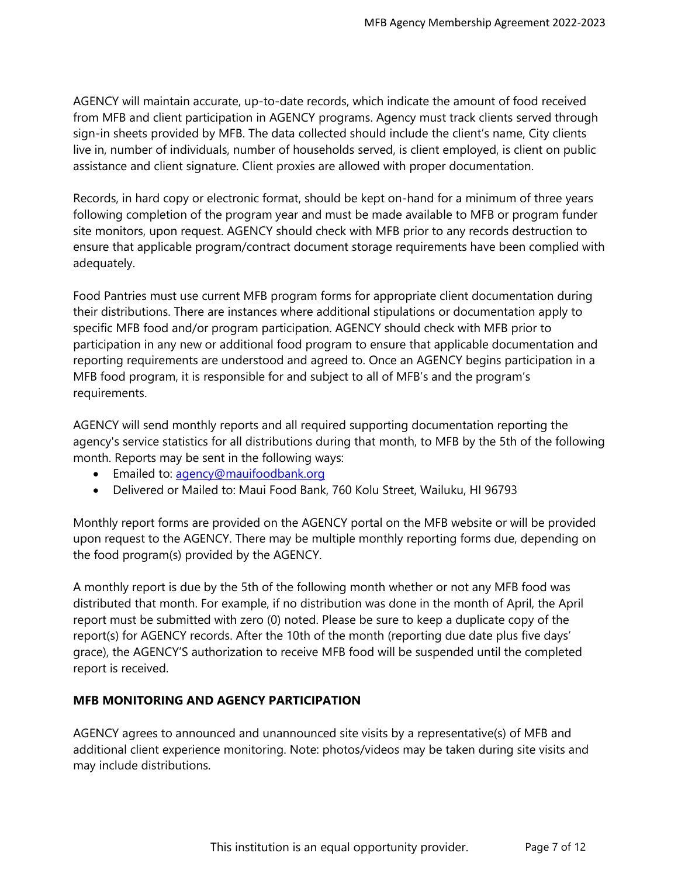AGENCY will maintain accurate, up-to-date records, which indicate the amount of food received from MFB and client participation in AGENCY programs. Agency must track clients served through sign-in sheets provided by MFB. The data collected should include the client's name, City clients live in, number of individuals, number of households served, is client employed, is client on public assistance and client signature. Client proxies are allowed with proper documentation.

Records, in hard copy or electronic format, should be kept on-hand for a minimum of three years following completion of the program year and must be made available to MFB or program funder site monitors, upon request. AGENCY should check with MFB prior to any records destruction to ensure that applicable program/contract document storage requirements have been complied with adequately.

Food Pantries must use current MFB program forms for appropriate client documentation during their distributions. There are instances where additional stipulations or documentation apply to specific MFB food and/or program participation. AGENCY should check with MFB prior to participation in any new or additional food program to ensure that applicable documentation and reporting requirements are understood and agreed to. Once an AGENCY begins participation in a MFB food program, it is responsible for and subject to all of MFB's and the program's requirements.

AGENCY will send monthly reports and all required supporting documentation reporting the agency's service statistics for all distributions during that month, to MFB by the 5th of the following month. Reports may be sent in the following ways:

- **Emailed to: [agency@mauifoodbank.org](mailto:agency@mauifoodbank.org)**
- Delivered or Mailed to: Maui Food Bank, 760 Kolu Street, Wailuku, HI 96793

Monthly report forms are provided on the AGENCY portal on the MFB website or will be provided upon request to the AGENCY. There may be multiple monthly reporting forms due, depending on the food program(s) provided by the AGENCY.

A monthly report is due by the 5th of the following month whether or not any MFB food was distributed that month. For example, if no distribution was done in the month of April, the April report must be submitted with zero (0) noted. Please be sure to keep a duplicate copy of the report(s) for AGENCY records. After the 10th of the month (reporting due date plus five days' grace), the AGENCY'S authorization to receive MFB food will be suspended until the completed report is received.

## **MFB MONITORING AND AGENCY PARTICIPATION**

AGENCY agrees to announced and unannounced site visits by a representative(s) of MFB and additional client experience monitoring. Note: photos/videos may be taken during site visits and may include distributions.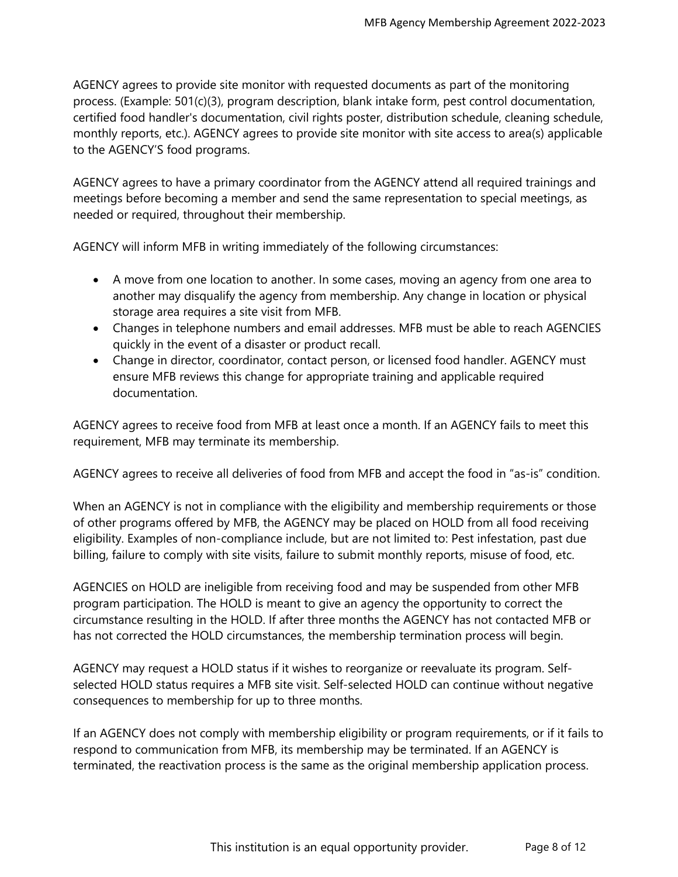AGENCY agrees to provide site monitor with requested documents as part of the monitoring process. (Example: 501(c)(3), program description, blank intake form, pest control documentation, certified food handler's documentation, civil rights poster, distribution schedule, cleaning schedule, monthly reports, etc.). AGENCY agrees to provide site monitor with site access to area(s) applicable to the AGENCY'S food programs.

AGENCY agrees to have a primary coordinator from the AGENCY attend all required trainings and meetings before becoming a member and send the same representation to special meetings, as needed or required, throughout their membership.

AGENCY will inform MFB in writing immediately of the following circumstances:

- A move from one location to another. In some cases, moving an agency from one area to another may disqualify the agency from membership. Any change in location or physical storage area requires a site visit from MFB.
- Changes in telephone numbers and email addresses. MFB must be able to reach AGENCIES quickly in the event of a disaster or product recall.
- Change in director, coordinator, contact person, or licensed food handler. AGENCY must ensure MFB reviews this change for appropriate training and applicable required documentation.

AGENCY agrees to receive food from MFB at least once a month. If an AGENCY fails to meet this requirement, MFB may terminate its membership.

AGENCY agrees to receive all deliveries of food from MFB and accept the food in "as-is" condition.

When an AGENCY is not in compliance with the eligibility and membership requirements or those of other programs offered by MFB, the AGENCY may be placed on HOLD from all food receiving eligibility. Examples of non-compliance include, but are not limited to: Pest infestation, past due billing, failure to comply with site visits, failure to submit monthly reports, misuse of food, etc.

AGENCIES on HOLD are ineligible from receiving food and may be suspended from other MFB program participation. The HOLD is meant to give an agency the opportunity to correct the circumstance resulting in the HOLD. If after three months the AGENCY has not contacted MFB or has not corrected the HOLD circumstances, the membership termination process will begin.

AGENCY may request a HOLD status if it wishes to reorganize or reevaluate its program. Selfselected HOLD status requires a MFB site visit. Self-selected HOLD can continue without negative consequences to membership for up to three months.

If an AGENCY does not comply with membership eligibility or program requirements, or if it fails to respond to communication from MFB, its membership may be terminated. If an AGENCY is terminated, the reactivation process is the same as the original membership application process.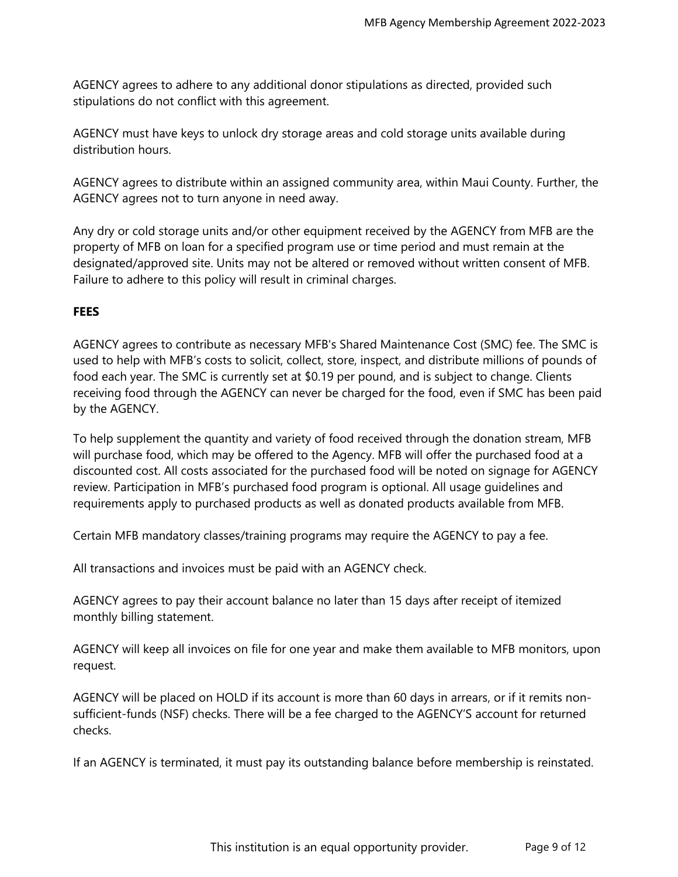AGENCY agrees to adhere to any additional donor stipulations as directed, provided such stipulations do not conflict with this agreement.

AGENCY must have keys to unlock dry storage areas and cold storage units available during distribution hours.

AGENCY agrees to distribute within an assigned community area, within Maui County. Further, the AGENCY agrees not to turn anyone in need away.

Any dry or cold storage units and/or other equipment received by the AGENCY from MFB are the property of MFB on loan for a specified program use or time period and must remain at the designated/approved site. Units may not be altered or removed without written consent of MFB. Failure to adhere to this policy will result in criminal charges.

## **FEES**

AGENCY agrees to contribute as necessary MFB's Shared Maintenance Cost (SMC) fee. The SMC is used to help with MFB's costs to solicit, collect, store, inspect, and distribute millions of pounds of food each year. The SMC is currently set at \$0.19 per pound, and is subject to change. Clients receiving food through the AGENCY can never be charged for the food, even if SMC has been paid by the AGENCY.

To help supplement the quantity and variety of food received through the donation stream, MFB will purchase food, which may be offered to the Agency. MFB will offer the purchased food at a discounted cost. All costs associated for the purchased food will be noted on signage for AGENCY review. Participation in MFB's purchased food program is optional. All usage guidelines and requirements apply to purchased products as well as donated products available from MFB.

Certain MFB mandatory classes/training programs may require the AGENCY to pay a fee.

All transactions and invoices must be paid with an AGENCY check.

AGENCY agrees to pay their account balance no later than 15 days after receipt of itemized monthly billing statement.

AGENCY will keep all invoices on file for one year and make them available to MFB monitors, upon request.

AGENCY will be placed on HOLD if its account is more than 60 days in arrears, or if it remits nonsufficient-funds (NSF) checks. There will be a fee charged to the AGENCY'S account for returned checks.

If an AGENCY is terminated, it must pay its outstanding balance before membership is reinstated.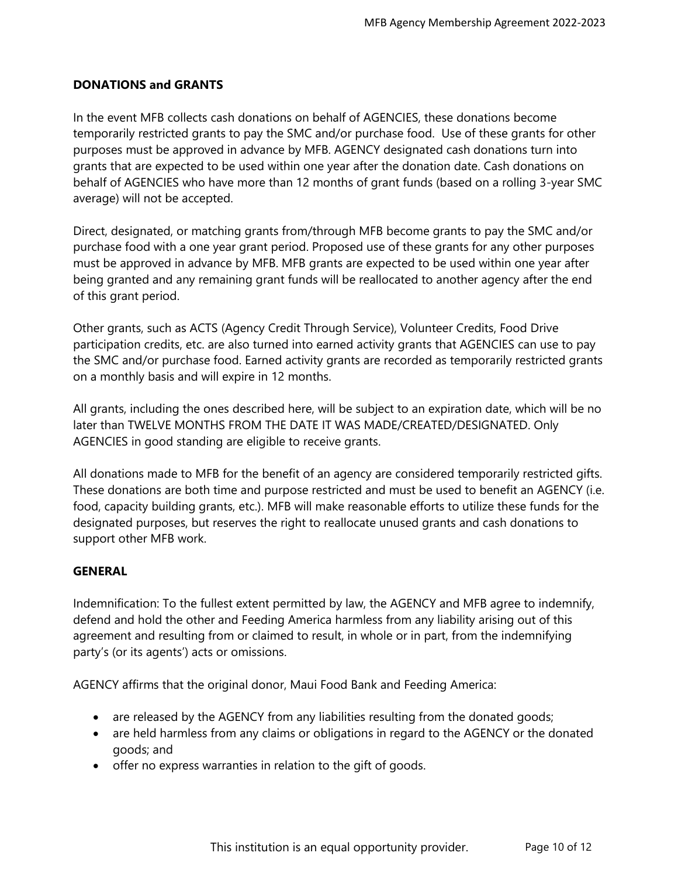## **DONATIONS and GRANTS**

In the event MFB collects cash donations on behalf of AGENCIES, these donations become temporarily restricted grants to pay the SMC and/or purchase food. Use of these grants for other purposes must be approved in advance by MFB. AGENCY designated cash donations turn into grants that are expected to be used within one year after the donation date. Cash donations on behalf of AGENCIES who have more than 12 months of grant funds (based on a rolling 3-year SMC average) will not be accepted.

Direct, designated, or matching grants from/through MFB become grants to pay the SMC and/or purchase food with a one year grant period. Proposed use of these grants for any other purposes must be approved in advance by MFB. MFB grants are expected to be used within one year after being granted and any remaining grant funds will be reallocated to another agency after the end of this grant period.

Other grants, such as ACTS (Agency Credit Through Service), Volunteer Credits, Food Drive participation credits, etc. are also turned into earned activity grants that AGENCIES can use to pay the SMC and/or purchase food. Earned activity grants are recorded as temporarily restricted grants on a monthly basis and will expire in 12 months.

All grants, including the ones described here, will be subject to an expiration date, which will be no later than TWELVE MONTHS FROM THE DATE IT WAS MADE/CREATED/DESIGNATED. Only AGENCIES in good standing are eligible to receive grants.

All donations made to MFB for the benefit of an agency are considered temporarily restricted gifts. These donations are both time and purpose restricted and must be used to benefit an AGENCY (i.e. food, capacity building grants, etc.). MFB will make reasonable efforts to utilize these funds for the designated purposes, but reserves the right to reallocate unused grants and cash donations to support other MFB work.

#### **GENERAL**

Indemnification: To the fullest extent permitted by law, the AGENCY and MFB agree to indemnify, defend and hold the other and Feeding America harmless from any liability arising out of this agreement and resulting from or claimed to result, in whole or in part, from the indemnifying party's (or its agents') acts or omissions.

AGENCY affirms that the original donor, Maui Food Bank and Feeding America:

- are released by the AGENCY from any liabilities resulting from the donated goods;
- are held harmless from any claims or obligations in regard to the AGENCY or the donated goods; and
- offer no express warranties in relation to the gift of goods.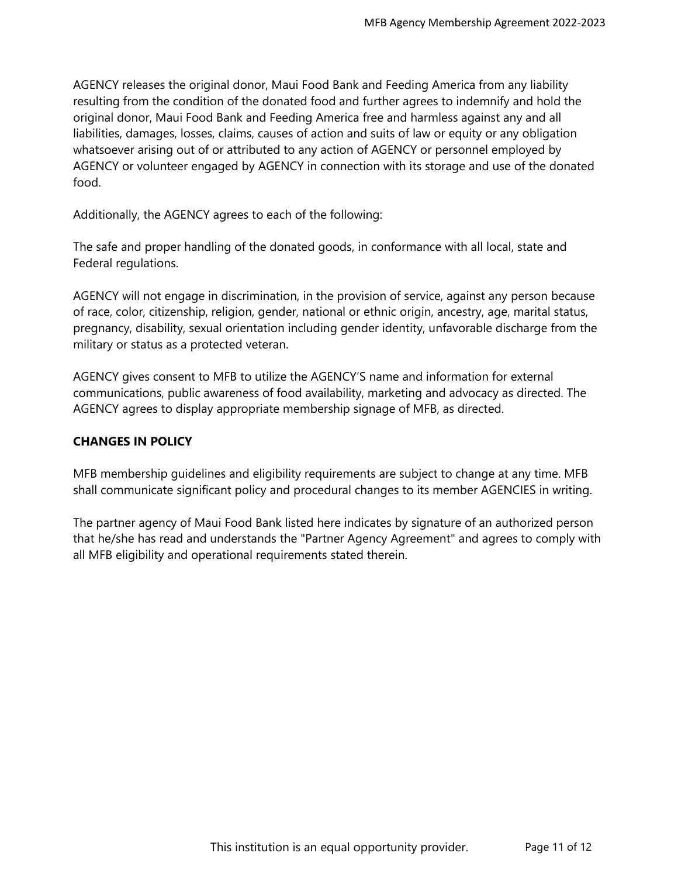AGENCY releases the original donor, Maui Food Bank and Feeding America from any liability resulting from the condition of the donated food and further agrees to indemnify and hold the original donor, Maui Food Bank and Feeding America free and harmless against any and all liabilities, damages, losses, claims, causes of action and suits of law or equity or any obligation whatsoever arising out of or attributed to any action of AGENCY or personnel employed by AGENCY or volunteer engaged by AGENCY in connection with its storage and use of the donated food.

Additionally, the AGENCY agrees to each of the following:

The safe and proper handling of the donated goods, in conformance with all local, state and Federal regulations.

AGENCY will not engage in discrimination, in the provision of service, against any person because of race, color, citizenship, religion, gender, national or ethnic origin, ancestry, age, marital status, pregnancy, disability, sexual orientation including gender identity, unfavorable discharge from the military or status as a protected veteran.

AGENCY gives consent to MFB to utilize the AGENCY'S name and information for external communications, public awareness of food availability, marketing and advocacy as directed. The AGENCY agrees to display appropriate membership signage of MFB, as directed.

### **CHANGES IN POLICY**

MFB membership guidelines and eligibility requirements are subject to change at any time. MFB shall communicate significant policy and procedural changes to its member AGENCIES in writing.

The partner agency of Maui Food Bank listed here indicates by signature of an authorized person that he/she has read and understands the "Partner Agency Agreement" and agrees to comply with all MFB eligibility and operational requirements stated therein.